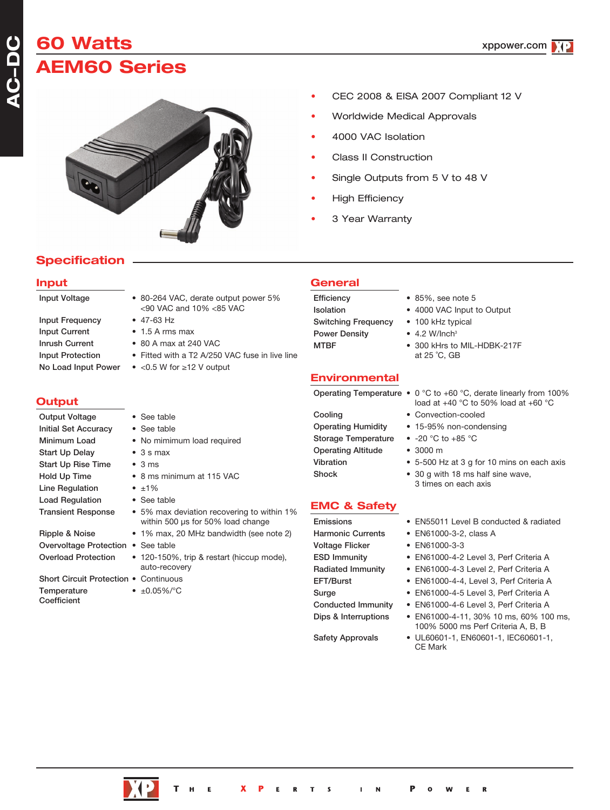# **60 Watts AEM60 Series**



# • CEC 2008 & EISA 2007 Compliant 12 V

- Worldwide Medical Approvals
- 4000 VAC Isolation
- Class II Construction
- Single Outputs from 5 V to 48 V
- **High Efficiency**
- 3 Year Warranty

# **Specification**

### **Input**

**ACDC**

| <b>Input Frequency</b>  |
|-------------------------|
| <b>Input Current</b>    |
| Inrush Current          |
| <b>Input Protection</b> |
| No Load Input Powe      |

# **Output**

| <b>Output Voltage</b>       |
|-----------------------------|
| <b>Initial Set Accuracy</b> |
| Minimum Load                |
| <b>Start Up Delay</b>       |
| <b>Start Up Rise Time</b>   |
| Hold Up Time                |
| <b>Line Regulation</b>      |
| <b>Load Regulation</b>      |
| <b>Transient Response</b>   |
|                             |
| <b>DELLES DE ALLES</b>      |

- Ripple & Noise 1% max, 20 MHz bandwidth (see note 2) Overvoltage Protection • See table Overload Protection • 120-150%, trip & restart (hiccup mode),
- Short Circuit Protection Continuous Temperature • ±0.05%/°C
- Coefficient

<90 VAC and 10% <85 VAC  $\bullet$  47-63 Hz  $\bullet$  1.5 A rms max  $\bullet$  80 A max at 240 VAC

Input Voltage • 80-264 VAC, derate output power 5%

• See table • See table

 $\bullet$  3 s max  $\cdot$  3 ms

 $\cdot \pm 1\%$ • See table

auto-recovery

• Fitted with a T2 A/250 VAC fuse in live line

• 5% max deviation recovering to within 1% within 500 us for 50% load change

 $\bullet$  <0.5 W for ≥12 V output

• No mimimum load required

• 8 ms minimum at 115 VAC

# **General**

Switching Frequency • 100 kHz typical Power Density • 4.2 W/Inch<sup>3</sup>

- Efficiency 85%, see note 5
- Isolation 4000 VAC Input to Output
	-
	-
- MTBF 300 kHrs to MIL-HDBK-217F at 25 ˚C, GB

### **Environmental**

Cooling • Convection-cooled Storage Temperature • -20 °C to +85 °C

# Operating Altitude • 3000 m

# **EMC & Safety**

Voltage Flicker • EN61000-3-3

- Operating Temperature 0 °C to +60 °C, derate linearly from 100% load at  $+40$  °C to 50% load at  $+60$  °C
	-
- Operating Humidity 15-95% non-condensing
	-
	-
- Vibration 5-500 Hz at 3 g for 10 mins on each axis
- Shock 30 g with 18 ms half sine wave, 3 times on each axis
- Emissions EN55011 Level B conducted & radiated
- Harmonic Currents EN61000-3-2, class A
	-
- ESD Immunity EN61000-4-2 Level 3, Perf Criteria A
- Radiated Immunity EN61000-4-3 Level 2, Perf Criteria A
- EFT/Burst EN61000-4-4, Level 3, Perf Criteria A
- Surge EN61000-4-5 Level 3, Perf Criteria A
- Conducted Immunity EN61000-4-6 Level 3, Perf Criteria A
- Dips & Interruptions EN61000-4-11, 30% 10 ms, 60% 100 ms, 100% 5000 ms Perf Criteria A, B, B
- Safety Approvals UL60601-1, EN60601-1, IEC60601-1, CE Mark